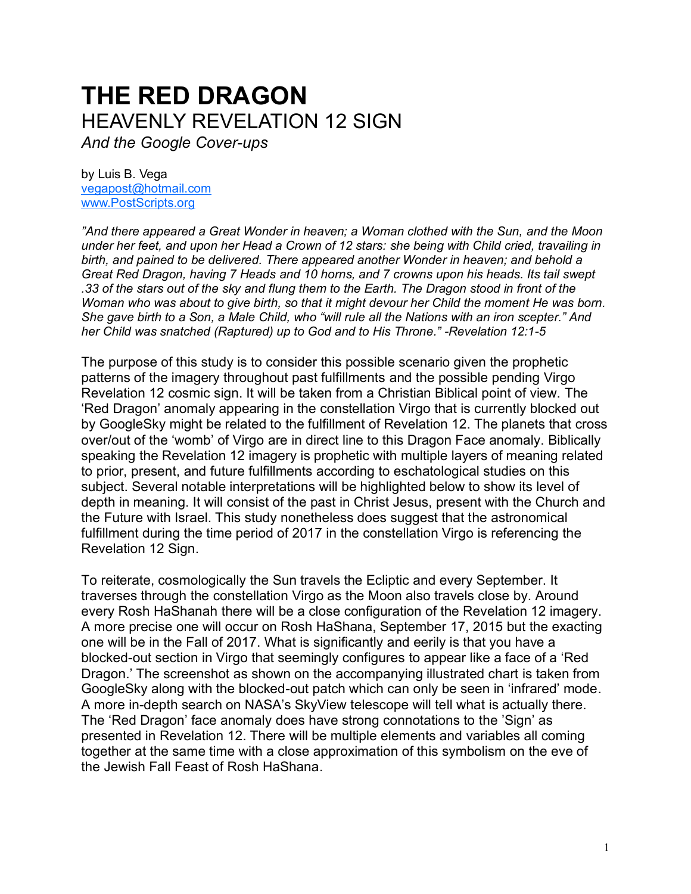# **THE RED DRAGON** HEAVENLY REVELATION 12 SIGN

*And the Google Cover-ups*

by Luis B. Vega [vegapost@hotmail.com](mailto:vegapost@hotmail.com) [www.PostScripts.org](http://www.postscripts.org/)

"And there appeared a Great Wonder in heaven; a Woman clothed with the Sun, and the Moon *under her feet, and upon her Head a Crown of 12 stars: she being with Child cried, travailing in birth, and pained to be delivered. There appeared another Wonder in heaven; and behold a Great Red Dragon, having 7 Heads and 10 horns, and 7 crowns upon his heads. Its tail swept .33 of the stars out of the sky and flung them to the Earth. The Dragon stood in front of the Woman who was about to give birth, so that it might devour her Child the moment He was born. She gave birth to a Son, a Male Child, who "will rule all the Nations with an iron scepter." And her Child was snatched (Raptured) up to God and to His Throne." -Revelation 12:1-5* 

The purpose of this study is to consider this possible scenario given the prophetic patterns of the imagery throughout past fulfillments and the possible pending Virgo Revelation 12 cosmic sign. It will be taken from a Christian Biblical point of view. The 'Red Dragon' anomaly appearing in the constellation Virgo that is currently blocked out by GoogleSky might be related to the fulfillment of Revelation 12. The planets that cross over/out of the 'womb' of Virgo are in direct line to this Dragon Face anomaly. Biblically speaking the Revelation 12 imagery is prophetic with multiple layers of meaning related to prior, present, and future fulfillments according to eschatological studies on this subject. Several notable interpretations will be highlighted below to show its level of depth in meaning. It will consist of the past in Christ Jesus, present with the Church and the Future with Israel. This study nonetheless does suggest that the astronomical fulfillment during the time period of 2017 in the constellation Virgo is referencing the Revelation 12 Sign.

To reiterate, cosmologically the Sun travels the Ecliptic and every September. It traverses through the constellation Virgo as the Moon also travels close by. Around every Rosh HaShanah there will be a close configuration of the Revelation 12 imagery. A more precise one will occur on Rosh HaShana, September 17, 2015 but the exacting one will be in the Fall of 2017. What is significantly and eerily is that you have a blocked-out section in Virgo that seemingly configures to appear like a face of a 'Red Dragon.' The screenshot as shown on the accompanying illustrated chart is taken from GoogleSky along with the blocked-out patch which can only be seen in 'infrared' mode. A more in-depth search on NASA's SkyView telescope will tell what is actually there. The 'Red Dragon' face anomaly does have strong connotations to the 'Sign' as presented in Revelation 12. There will be multiple elements and variables all coming together at the same time with a close approximation of this symbolism on the eve of the Jewish Fall Feast of Rosh HaShana.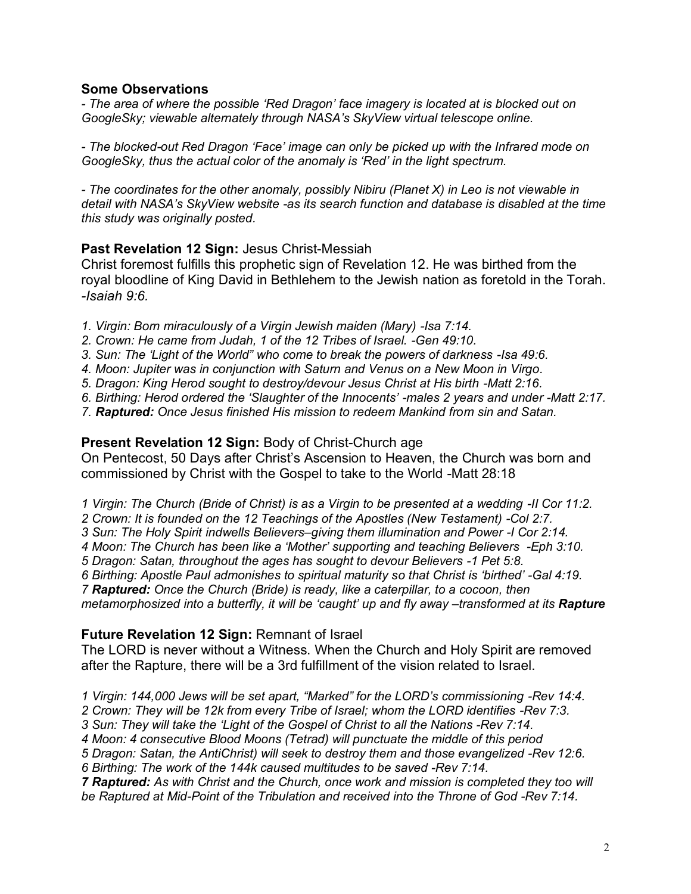# **Some Observations**

*- The area of where the possible 'Red Dragon' face imagery is located at is blocked out on GoogleSky; viewable alternately through NASA's SkyView virtual telescope online.*

*- The blocked-out Red Dragon 'Face' image can only be picked up with the Infrared mode on GoogleSky, thus the actual color of the anomaly is 'Red' in the light spectrum.*

*- The coordinates for the other anomaly, possibly Nibiru (Planet X) in Leo is not viewable in detail with NASA's SkyView website -as its search function and database is disabled at the time this study was originally posted.*

## **Past Revelation 12 Sign:** Jesus Christ-Messiah

Christ foremost fulfills this prophetic sign of Revelation 12. He was birthed from the royal bloodline of King David in Bethlehem to the Jewish nation as foretold in the Torah. *-Isaiah 9:6.*

- *1. Virgin: Born miraculously of a Virgin Jewish maiden (Mary) -Isa 7:14.*
- *2. Crown: He came from Judah, 1 of the 12 Tribes of Israel. -Gen 49:10.*
- *3. Sun: The 'Light of the World" who come to break the powers of darkness -Isa 49:6.*
- *4. Moon: Jupiter was in conjunction with Saturn and Venus on a New Moon in Virgo.*
- *5. Dragon: King Herod sought to destroy/devour Jesus Christ at His birth -Matt 2:16.*
- *6. Birthing: Herod ordered the 'Slaughter of the Innocents' -males 2 years and under -Matt 2:17.*

*7. Raptured: Once Jesus finished His mission to redeem Mankind from sin and Satan.*

#### **Present Revelation 12 Sign:** Body of Christ-Church age

On Pentecost, 50 Days after Christ's Ascension to Heaven, the Church was born and commissioned by Christ with the Gospel to take to the World -Matt 28:18

*1 Virgin: The Church (Bride of Christ) is as a Virgin to be presented at a wedding -II Cor 11:2.*

*2 Crown: It is founded on the 12 Teachings of the Apostles (New Testament) -Col 2:7.*

*3 Sun: The Holy Spirit indwells Believers–giving them illumination and Power -I Cor 2:14.*

*4 Moon: The Church has been like a 'Mother' supporting and teaching Believers -Eph 3:10.*

*5 Dragon: Satan, throughout the ages has sought to devour Believers -1 Pet 5:8.*

*6 Birthing: Apostle Paul admonishes to spiritual maturity so that Christ is 'birthed' -Gal 4:19.*

*7 Raptured: Once the Church (Bride) is ready, like a caterpillar, to a cocoon, then* 

*metamorphosized into a butterfly, it will be 'caught' up and fly away –transformed at its Rapture* 

#### **Future Revelation 12 Sign:** Remnant of Israel

The LORD is never without a Witness. When the Church and Holy Spirit are removed after the Rapture, there will be a 3rd fulfillment of the vision related to Israel.

*1 Virgin: 144,000 Jews will be set apart, "Marked" for the LORD's commissioning -Rev 14:4.* 

*2 Crown: They will be 12k from every Tribe of Israel; whom the LORD identifies -Rev 7:3.*

*3 Sun: They will take the 'Light of the Gospel of Christ to all the Nations -Rev 7:14.*

*4 Moon: 4 consecutive Blood Moons (Tetrad) will punctuate the middle of this period*

*5 Dragon: Satan, the AntiChrist) will seek to destroy them and those evangelized -Rev 12:6.*

*6 Birthing: The work of the 144k caused multitudes to be saved -Rev 7:14.*

*7 Raptured: As with Christ and the Church, once work and mission is completed they too will be Raptured at Mid-Point of the Tribulation and received into the Throne of God -Rev 7:14.*